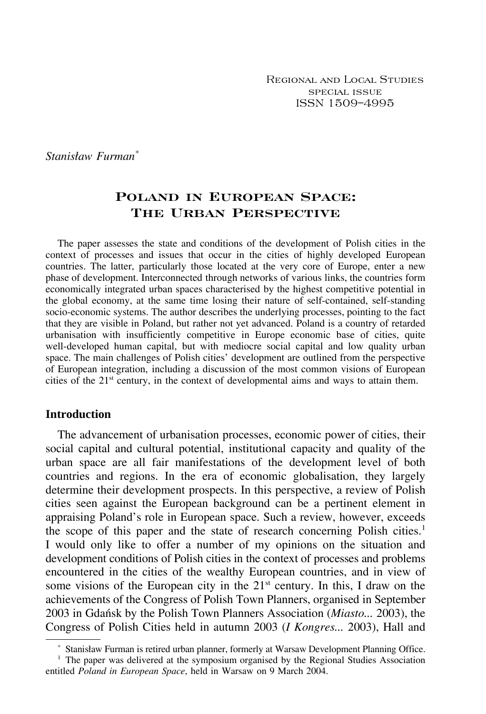Regional and Local Studies special issue ISSN 1509–4995

*Stanisław Furman\**

# **Poland in European Space: The Urban Perspective**

The paper assesses the state and conditions of the development of Polish cities in the context of processes and issues that occur in the cities of highly developed European countries. The latter, particularly those located at the very core of Europe, enter a new phase of development. Interconnected through networks of various links, the countries form economically integrated urban spaces characterised by the highest competitive potential in the global economy, at the same time losing their nature of self-contained, self-standing socio-economic systems. The author describes the underlying processes, pointing to the fact that they are visible in Poland, but rather not yet advanced. Poland is a country of retarded urbanisation with insufficiently competitive in Europe economic base of cities, quite well-developed human capital, but with mediocre social capital and low quality urban space. The main challenges of Polish cities' development are outlined from the perspective of European integration, including a discussion of the most common visions of European cities of the 21<sup>st</sup> century, in the context of developmental aims and ways to attain them.

#### **Introduction**

The advancement of urbanisation processes, economic power of cities, their social capital and cultural potential, institutional capacity and quality of the urban space are all fair manifestations of the development level of both countries and regions. In the era of economic globalisation, they largely determine their development prospects. In this perspective, a review of Polish cities seen against the European background can be a pertinent element in appraising Poland's role in European space. Such a review, however, exceeds the scope of this paper and the state of research concerning Polish cities.<sup>1</sup> I would only like to offer a number of my opinions on the situation and development conditions of Polish cities in the context of processes and problems encountered in the cities of the wealthy European countries, and in view of some visions of the European city in the  $21<sup>st</sup>$  century. In this, I draw on the achievements of the Congress of Polish Town Planners, organised in September 2003 in Gdańsk by the Polish Town Planners Association (*Miasto...* 2003), the Congress of Polish Cities held in autumn 2003 (*I Kongres...* 2003), Hall and

Stanisław Furman is retired urban planner, formerly at Warsaw Development Planning Office.

<sup>&</sup>lt;sup>1</sup> The paper was delivered at the symposium organised by the Regional Studies Association entitled *Poland in European Space*, held in Warsaw on 9 March 2004.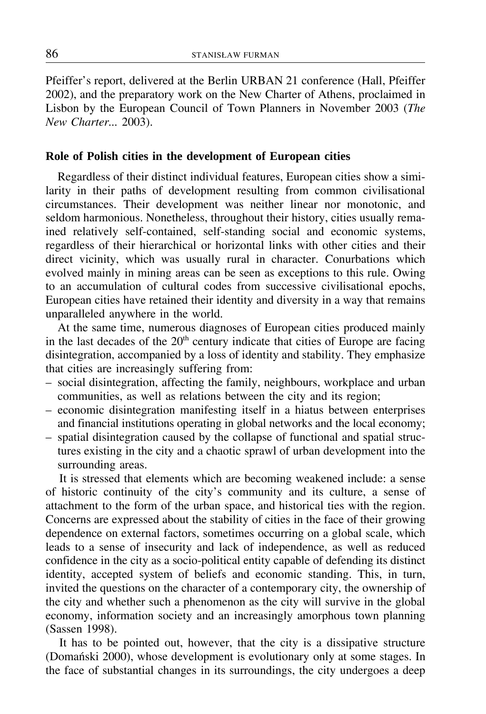Pfeiffer's report, delivered at the Berlin URBAN 21 conference (Hall, Pfeiffer 2002), and the preparatory work on the New Charter of Athens, proclaimed in Lisbon by the European Council of Town Planners in November 2003 (*The New Charter...* 2003).

### **Role of Polish cities in the development of European cities**

Regardless of their distinct individual features, European cities show a similarity in their paths of development resulting from common civilisational circumstances. Their development was neither linear nor monotonic, and seldom harmonious. Nonetheless, throughout their history, cities usually remained relatively self-contained, self-standing social and economic systems, regardless of their hierarchical or horizontal links with other cities and their direct vicinity, which was usually rural in character. Conurbations which evolved mainly in mining areas can be seen as exceptions to this rule. Owing to an accumulation of cultural codes from successive civilisational epochs, European cities have retained their identity and diversity in a way that remains unparalleled anywhere in the world.

At the same time, numerous diagnoses of European cities produced mainly in the last decades of the  $20<sup>th</sup>$  century indicate that cities of Europe are facing disintegration, accompanied by a loss of identity and stability. They emphasize that cities are increasingly suffering from:

- social disintegration, affecting the family, neighbours, workplace and urban communities, as well as relations between the city and its region;
- economic disintegration manifesting itself in a hiatus between enterprises and financial institutions operating in global networks and the local economy;
- spatial disintegration caused by the collapse of functional and spatial structures existing in the city and a chaotic sprawl of urban development into the surrounding areas.

It is stressed that elements which are becoming weakened include: a sense of historic continuity of the city's community and its culture, a sense of attachment to the form of the urban space, and historical ties with the region. Concerns are expressed about the stability of cities in the face of their growing dependence on external factors, sometimes occurring on a global scale, which leads to a sense of insecurity and lack of independence, as well as reduced confidence in the city as a socio-political entity capable of defending its distinct identity, accepted system of beliefs and economic standing. This, in turn, invited the questions on the character of a contemporary city, the ownership of the city and whether such a phenomenon as the city will survive in the global economy, information society and an increasingly amorphous town planning (Sassen 1998).

It has to be pointed out, however, that the city is a dissipative structure (Domański 2000), whose development is evolutionary only at some stages. In the face of substantial changes in its surroundings, the city undergoes a deep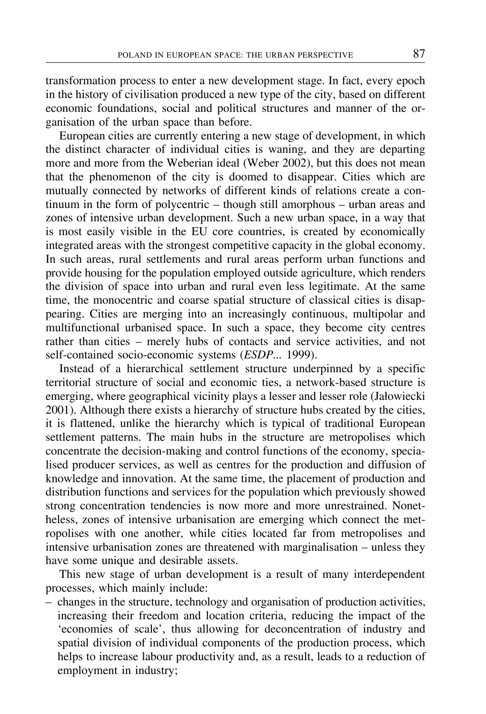transformation process to enter a new development stage. In fact, every epoch in the history of civilisation produced a new type of the city, based on different economic foundations, social and political structures and manner of the organisation of the urban space than before.

European cities are currently entering a new stage of development, in which the distinct character of individual cities is waning, and they are departing more and more from the Weberian ideal (Weber 2002), but this does not mean that the phenomenon of the city is doomed to disappear. Cities which are mutually connected by networks of different kinds of relations create a continuum in the form of polycentric  $-$  though still amorphous  $-$  urban areas and zones of intensive urban development. Such a new urban space, in a way that is most easily visible in the EU core countries, is created by economically integrated areas with the strongest competitive capacity in the global economy. In such areas, rural settlements and rural areas perform urban functions and provide housing for the population employed outside agriculture, which renders the division of space into urban and rural even less legitimate. At the same time, the monocentric and coarse spatial structure of classical cities is disappearing. Cities are merging into an increasingly continuous, multipolar and multifunctional urbanised space. In such a space, they become city centres rather than cities  $-$  merely hubs of contacts and service activities, and not self-contained socio-economic systems (*ESDP...* 1999).

Instead of a hierarchical settlement structure underpinned by a specific territorial structure of social and economic ties, a network-based structure is emerging, where geographical vicinity plays a lesser and lesser role (Jałowiecki 2001). Although there exists a hierarchy of structure hubs created by the cities, it is flattened, unlike the hierarchy which is typical of traditional European settlement patterns. The main hubs in the structure are metropolises which concentrate the decision-making and control functions of the economy, specialised producer services, as well as centres for the production and diffusion of knowledge and innovation. At the same time, the placement of production and distribution functions and services for the population which previously showed strong concentration tendencies is now more and more unrestrained. Nonetheless, zones of intensive urbanisation are emerging which connect the metropolises with one another, while cities located far from metropolises and intensive urbanisation zones are threatened with marginalisation  $-$  unless they have some unique and desirable assets.

This new stage of urban development is a result of many interdependent processes, which mainly include:

- changes in the structure, technology and organisation of production activities, increasing their freedom and location criteria, reducing the impact of the 'economies of scale', thus allowing for deconcentration of industry and spatial division of individual components of the production process, which helps to increase labour productivity and, as a result, leads to a reduction of employment in industry;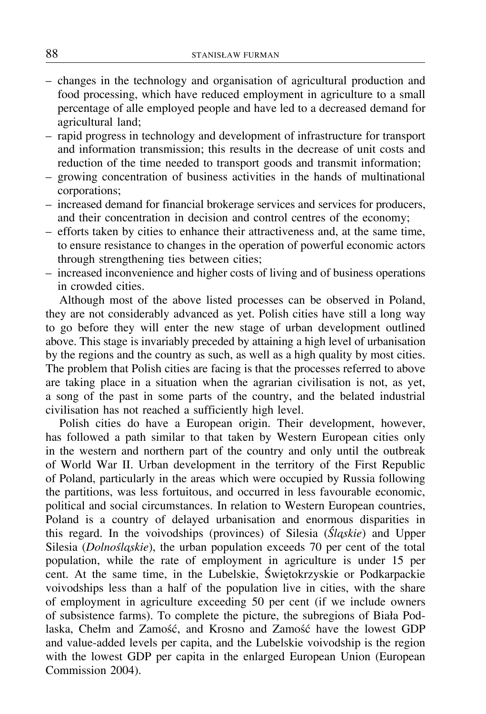- changes in the technology and organisation of agricultural production and food processing, which have reduced employment in agriculture to a small percentage of alle employed people and have led to a decreased demand for agricultural land;
- rapid progress in technology and development of infrastructure for transport and information transmission; this results in the decrease of unit costs and reduction of the time needed to transport goods and transmit information;
- growing concentration of business activities in the hands of multinational corporations;
- increased demand for financial brokerage services and services for producers, and their concentration in decision and control centres of the economy;
- efforts taken by cities to enhance their attractiveness and, at the same time, to ensure resistance to changes in the operation of powerful economic actors through strengthening ties between cities;
- increased inconvenience and higher costs of living and of business operations in crowded cities.

Although most of the above listed processes can be observed in Poland, they are not considerably advanced as yet. Polish cities have still a long way to go before they will enter the new stage of urban development outlined above. This stage is invariably preceded by attaining a high level of urbanisation by the regions and the country as such, as well as a high quality by most cities. The problem that Polish cities are facing is that the processes referred to above are taking place in a situation when the agrarian civilisation is not, as yet, a song of the past in some parts of the country, and the belated industrial civilisation has not reached a sufficiently high level.

Polish cities do have a European origin. Their development, however, has followed a path similar to that taken by Western European cities only in the western and northern part of the country and only until the outbreak of World War II. Urban development in the territory of the First Republic of Poland, particularly in the areas which were occupied by Russia following the partitions, was less fortuitous, and occurred in less favourable economic, political and social circumstances. In relation to Western European countries, Poland is a country of delayed urbanisation and enormous disparities in this regard. In the voivodships (provinces) of Silesia (*¥ Sla˛skie*) and Upper Silesia (*Dolnośląskie*), the urban population exceeds 70 per cent of the total population, while the rate of employment in agriculture is under 15 per cent. At the same time, in the Lubelskie, Świętokrzyskie or Podkarpackie voivodships less than a half of the population live in cities, with the share of employment in agriculture exceeding 50 per cent (if we include owners of subsistence farms). To complete the picture, the subregions of Biała Podlaska, Chełm and Zamość, and Krosno and Zamość have the lowest GDP and value-added levels per capita, and the Lubelskie voivodship is the region with the lowest GDP per capita in the enlarged European Union (European Commission 2004).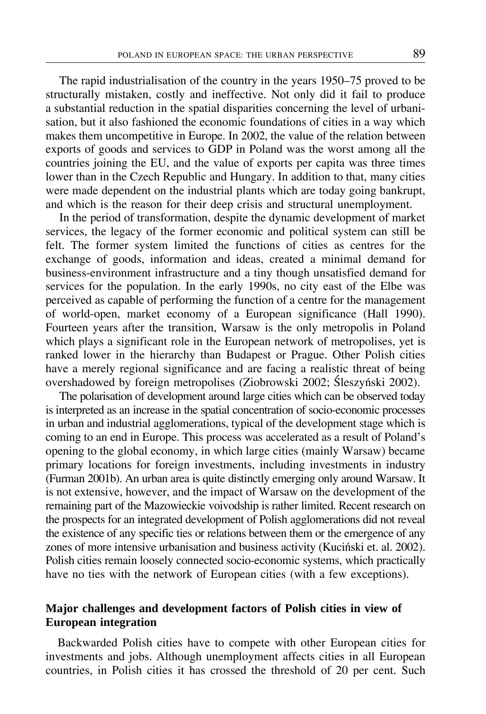The rapid industrialisation of the country in the years 1950–75 proved to be structurally mistaken, costly and ineffective. Not only did it fail to produce a substantial reduction in the spatial disparities concerning the level of urbanisation, but it also fashioned the economic foundations of cities in a way which makes them uncompetitive in Europe. In 2002, the value of the relation between exports of goods and services to GDP in Poland was the worst among all the countries joining the EU, and the value of exports per capita was three times lower than in the Czech Republic and Hungary. In addition to that, many cities were made dependent on the industrial plants which are today going bankrupt, and which is the reason for their deep crisis and structural unemployment.

In the period of transformation, despite the dynamic development of market services, the legacy of the former economic and political system can still be felt. The former system limited the functions of cities as centres for the exchange of goods, information and ideas, created a minimal demand for business-environment infrastructure and a tiny though unsatisfied demand for services for the population. In the early 1990s, no city east of the Elbe was perceived as capable of performing the function of a centre for the management of world-open, market economy of a European significance (Hall 1990). Fourteen years after the transition, Warsaw is the only metropolis in Poland which plays a significant role in the European network of metropolises, yet is ranked lower in the hierarchy than Budapest or Prague. Other Polish cities have a merely regional significance and are facing a realistic threat of being overshadowed by foreign metropolises (Ziobrowski 2002; Śleszyński 2002).

The polarisation of development around large cities which can be observed today is interpreted as an increase in the spatial concentration of socio-economic processes in urban and industrial agglomerations, typical of the development stage which is coming to an end in Europe. This process was accelerated as a result of Poland's opening to the global economy, in which large cities (mainly Warsaw) became primary locations for foreign investments, including investments in industry (Furman 2001b). An urban area is quite distinctly emerging only around Warsaw. It is not extensive, however, and the impact of Warsaw on the development of the remaining part of the Mazowieckie voivodship is rather limited. Recent research on the prospects for an integrated development of Polish agglomerations did not reveal the existence of any specific ties or relations between them or the emergence of any zones of more intensive urbanisation and business activity (Kuciński et. al. 2002). Polish cities remain loosely connected socio-economic systems, which practically have no ties with the network of European cities (with a few exceptions).

## **Major challenges and development factors of Polish cities in view of European integration**

Backwarded Polish cities have to compete with other European cities for investments and jobs. Although unemployment affects cities in all European countries, in Polish cities it has crossed the threshold of 20 per cent. Such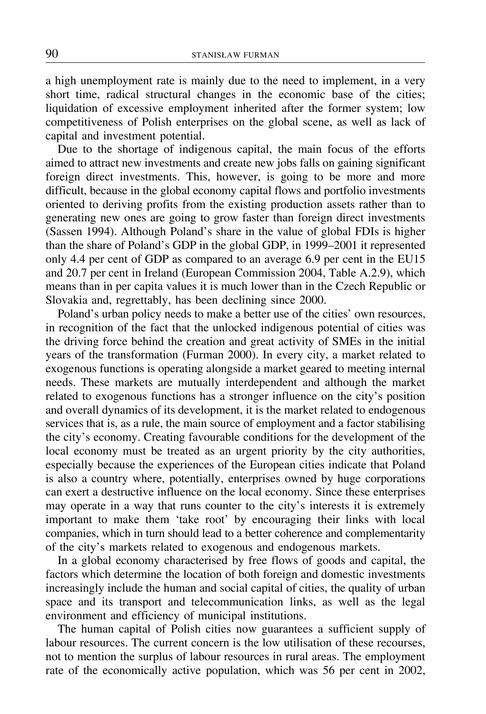a high unemployment rate is mainly due to the need to implement, in a very short time, radical structural changes in the economic base of the cities; liquidation of excessive employment inherited after the former system; low competitiveness of Polish enterprises on the global scene, as well as lack of capital and investment potential.

Due to the shortage of indigenous capital, the main focus of the efforts aimed to attract new investments and create new jobs falls on gaining significant foreign direct investments. This, however, is going to be more and more difficult, because in the global economy capital flows and portfolio investments oriented to deriving profits from the existing production assets rather than to generating new ones are going to grow faster than foreign direct investments (Sassen 1994). Although Poland's share in the value of global FDIs is higher than the share of Poland's GDP in the global GDP, in 1999–2001 it represented only 4.4 per cent of GDP as compared to an average 6.9 per cent in the EU15 and 20.7 per cent in Ireland (European Commission 2004, Table A.2.9), which means than in per capita values it is much lower than in the Czech Republic or Slovakia and, regrettably, has been declining since 2000.

Poland's urban policy needs to make a better use of the cities' own resources, in recognition of the fact that the unlocked indigenous potential of cities was the driving force behind the creation and great activity of SMEs in the initial years of the transformation (Furman 2000). In every city, a market related to exogenous functions is operating alongside a market geared to meeting internal needs. These markets are mutually interdependent and although the market related to exogenous functions has a stronger influence on the city's position and overall dynamics of its development, it is the market related to endogenous services that is, as a rule, the main source of employment and a factor stabilising the city's economy. Creating favourable conditions for the development of the local economy must be treated as an urgent priority by the city authorities, especially because the experiences of the European cities indicate that Poland is also a country where, potentially, enterprises owned by huge corporations can exert a destructive influence on the local economy. Since these enterprises may operate in a way that runs counter to the city's interests it is extremely important to make them 'take root' by encouraging their links with local companies, which in turn should lead to a better coherence and complementarity of the city's markets related to exogenous and endogenous markets.

In a global economy characterised by free flows of goods and capital, the factors which determine the location of both foreign and domestic investments increasingly include the human and social capital of cities, the quality of urban space and its transport and telecommunication links, as well as the legal environment and efficiency of municipal institutions.

The human capital of Polish cities now guarantees a sufficient supply of labour resources. The current concern is the low utilisation of these recourses, not to mention the surplus of labour resources in rural areas. The employment rate of the economically active population, which was 56 per cent in 2002,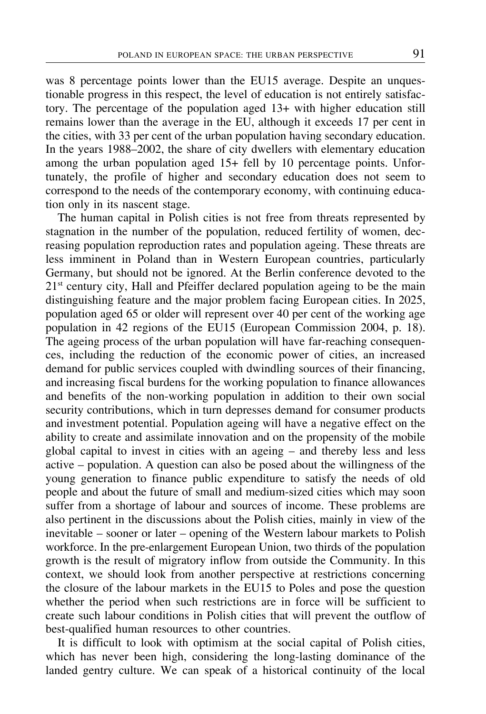was 8 percentage points lower than the EU15 average. Despite an unquestionable progress in this respect, the level of education is not entirely satisfactory. The percentage of the population aged 13+ with higher education still remains lower than the average in the EU, although it exceeds 17 per cent in the cities, with 33 per cent of the urban population having secondary education. In the years 1988–2002, the share of city dwellers with elementary education among the urban population aged 15+ fell by 10 percentage points. Unfortunately, the profile of higher and secondary education does not seem to correspond to the needs of the contemporary economy, with continuing education only in its nascent stage.

The human capital in Polish cities is not free from threats represented by stagnation in the number of the population, reduced fertility of women, decreasing population reproduction rates and population ageing. These threats are less imminent in Poland than in Western European countries, particularly Germany, but should not be ignored. At the Berlin conference devoted to the 21<sup>st</sup> century city, Hall and Pfeiffer declared population ageing to be the main distinguishing feature and the major problem facing European cities. In 2025, population aged 65 or older will represent over 40 per cent of the working age population in 42 regions of the EU15 (European Commission 2004, p. 18). The ageing process of the urban population will have far-reaching consequences, including the reduction of the economic power of cities, an increased demand for public services coupled with dwindling sources of their financing, and increasing fiscal burdens for the working population to finance allowances and benefits of the non-working population in addition to their own social security contributions, which in turn depresses demand for consumer products and investment potential. Population ageing will have a negative effect on the ability to create and assimilate innovation and on the propensity of the mobile global capital to invest in cities with an ageing - and thereby less and less active – population. A question can also be posed about the willingness of the young generation to finance public expenditure to satisfy the needs of old people and about the future of small and medium-sized cities which may soon suffer from a shortage of labour and sources of income. These problems are also pertinent in the discussions about the Polish cities, mainly in view of the inevitable – sooner or later – opening of the Western labour markets to Polish workforce. In the pre-enlargement European Union, two thirds of the population growth is the result of migratory inflow from outside the Community. In this context, we should look from another perspective at restrictions concerning the closure of the labour markets in the EU15 to Poles and pose the question whether the period when such restrictions are in force will be sufficient to create such labour conditions in Polish cities that will prevent the outflow of best-qualified human resources to other countries.

It is difficult to look with optimism at the social capital of Polish cities, which has never been high, considering the long-lasting dominance of the landed gentry culture. We can speak of a historical continuity of the local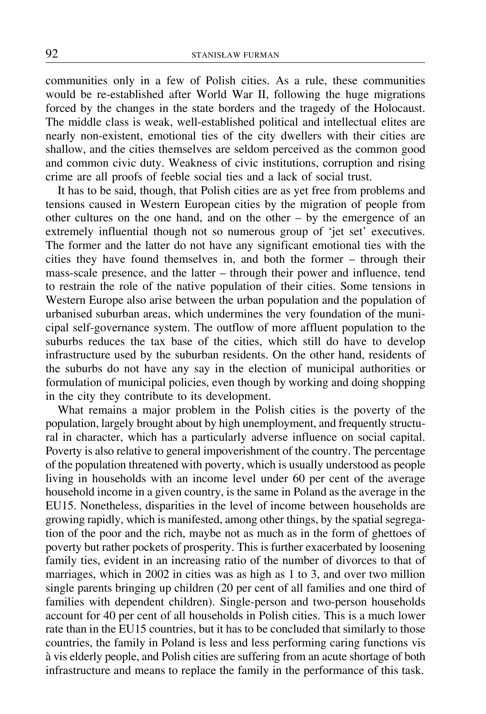communities only in a few of Polish cities. As a rule, these communities would be re-established after World War II, following the huge migrations forced by the changes in the state borders and the tragedy of the Holocaust. The middle class is weak, well-established political and intellectual elites are nearly non-existent, emotional ties of the city dwellers with their cities are shallow, and the cities themselves are seldom perceived as the common good and common civic duty. Weakness of civic institutions, corruption and rising crime are all proofs of feeble social ties and a lack of social trust.

It has to be said, though, that Polish cities are as yet free from problems and tensions caused in Western European cities by the migration of people from other cultures on the one hand, and on the other  $-$  by the emergence of an extremely influential though not so numerous group of 'jet set' executives. The former and the latter do not have any significant emotional ties with the cities they have found themselves in, and both the former - through their mass-scale presence, and the latter – through their power and influence, tend to restrain the role of the native population of their cities. Some tensions in Western Europe also arise between the urban population and the population of urbanised suburban areas, which undermines the very foundation of the municipal self-governance system. The outflow of more affluent population to the suburbs reduces the tax base of the cities, which still do have to develop infrastructure used by the suburban residents. On the other hand, residents of the suburbs do not have any say in the election of municipal authorities or formulation of municipal policies, even though by working and doing shopping in the city they contribute to its development.

What remains a major problem in the Polish cities is the poverty of the population, largely brought about by high unemployment, and frequently structural in character, which has a particularly adverse influence on social capital. Poverty is also relative to general impoverishment of the country. The percentage of the population threatened with poverty, which is usually understood as people living in households with an income level under 60 per cent of the average household income in a given country, is the same in Poland as the average in the EU15. Nonetheless, disparities in the level of income between households are growing rapidly, which is manifested, among other things, by the spatial segregation of the poor and the rich, maybe not as much as in the form of ghettoes of poverty but rather pockets of prosperity. This is further exacerbated by loosening family ties, evident in an increasing ratio of the number of divorces to that of marriages, which in 2002 in cities was as high as 1 to 3, and over two million single parents bringing up children (20 per cent of all families and one third of families with dependent children). Single-person and two-person households account for 40 per cent of all households in Polish cities. This is a much lower rate than in the EU15 countries, but it has to be concluded that similarly to those countries, the family in Poland is less and less performing caring functions vis à vis elderly people, and Polish cities are suffering from an acute shortage of both infrastructure and means to replace the family in the performance of this task.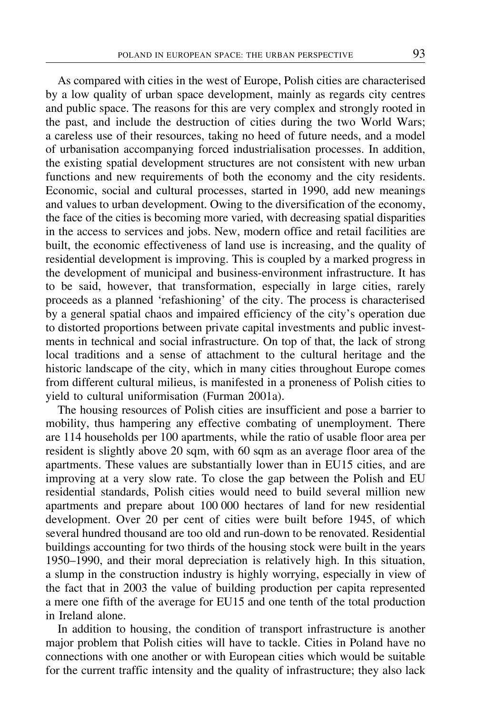As compared with cities in the west of Europe, Polish cities are characterised by a low quality of urban space development, mainly as regards city centres and public space. The reasons for this are very complex and strongly rooted in the past, and include the destruction of cities during the two World Wars; a careless use of their resources, taking no heed of future needs, and a model of urbanisation accompanying forced industrialisation processes. In addition, the existing spatial development structures are not consistent with new urban functions and new requirements of both the economy and the city residents. Economic, social and cultural processes, started in 1990, add new meanings and values to urban development. Owing to the diversification of the economy, the face of the cities is becoming more varied, with decreasing spatial disparities in the access to services and jobs. New, modern office and retail facilities are built, the economic effectiveness of land use is increasing, and the quality of residential development is improving. This is coupled by a marked progress in the development of municipal and business-environment infrastructure. It has to be said, however, that transformation, especially in large cities, rarely proceeds as a planned 'refashioning' of the city. The process is characterised by a general spatial chaos and impaired efficiency of the city's operation due to distorted proportions between private capital investments and public investments in technical and social infrastructure. On top of that, the lack of strong local traditions and a sense of attachment to the cultural heritage and the historic landscape of the city, which in many cities throughout Europe comes from different cultural milieus, is manifested in a proneness of Polish cities to yield to cultural uniformisation (Furman 2001a).

The housing resources of Polish cities are insufficient and pose a barrier to mobility, thus hampering any effective combating of unemployment. There are 114 households per 100 apartments, while the ratio of usable floor area per resident is slightly above 20 sqm, with 60 sqm as an average floor area of the apartments. These values are substantially lower than in EU15 cities, and are improving at a very slow rate. To close the gap between the Polish and EU residential standards, Polish cities would need to build several million new apartments and prepare about 100 000 hectares of land for new residential development. Over 20 per cent of cities were built before 1945, of which several hundred thousand are too old and run-down to be renovated. Residential buildings accounting for two thirds of the housing stock were built in the years 1950–1990, and their moral depreciation is relatively high. In this situation, a slump in the construction industry is highly worrying, especially in view of the fact that in 2003 the value of building production per capita represented a mere one fifth of the average for EU15 and one tenth of the total production in Ireland alone.

In addition to housing, the condition of transport infrastructure is another major problem that Polish cities will have to tackle. Cities in Poland have no connections with one another or with European cities which would be suitable for the current traffic intensity and the quality of infrastructure; they also lack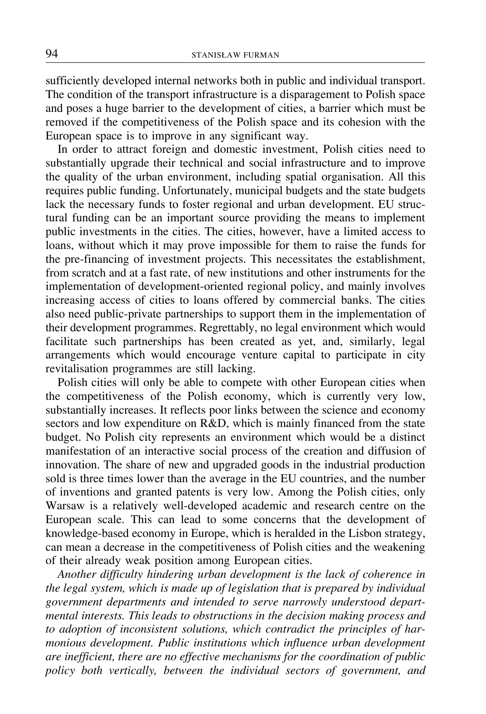sufficiently developed internal networks both in public and individual transport. The condition of the transport infrastructure is a disparagement to Polish space and poses a huge barrier to the development of cities, a barrier which must be removed if the competitiveness of the Polish space and its cohesion with the European space is to improve in any significant way.

In order to attract foreign and domestic investment, Polish cities need to substantially upgrade their technical and social infrastructure and to improve the quality of the urban environment, including spatial organisation. All this requires public funding. Unfortunately, municipal budgets and the state budgets lack the necessary funds to foster regional and urban development. EU structural funding can be an important source providing the means to implement public investments in the cities. The cities, however, have a limited access to loans, without which it may prove impossible for them to raise the funds for the pre-financing of investment projects. This necessitates the establishment, from scratch and at a fast rate, of new institutions and other instruments for the implementation of development-oriented regional policy, and mainly involves increasing access of cities to loans offered by commercial banks. The cities also need public-private partnerships to support them in the implementation of their development programmes. Regrettably, no legal environment which would facilitate such partnerships has been created as yet, and, similarly, legal arrangements which would encourage venture capital to participate in city revitalisation programmes are still lacking.

Polish cities will only be able to compete with other European cities when the competitiveness of the Polish economy, which is currently very low, substantially increases. It reflects poor links between the science and economy sectors and low expenditure on R&D, which is mainly financed from the state budget. No Polish city represents an environment which would be a distinct manifestation of an interactive social process of the creation and diffusion of innovation. The share of new and upgraded goods in the industrial production sold is three times lower than the average in the EU countries, and the number of inventions and granted patents is very low. Among the Polish cities, only Warsaw is a relatively well-developed academic and research centre on the European scale. This can lead to some concerns that the development of knowledge-based economy in Europe, which is heralded in the Lisbon strategy, can mean a decrease in the competitiveness of Polish cities and the weakening of their already weak position among European cities.

*Another difficulty hindering urban development is the lack of coherence in the legal system, which is made up of legislation that is prepared by individual government departments and intended to serve narrowly understood departmental interests. This leads to obstructions in the decision making process and to adoption of inconsistent solutions, which contradict the principles of harmonious development. Public institutions which influence urban development are inefficient, there are no effective mechanisms for the coordination of public policy both vertically, between the individual sectors of government, and*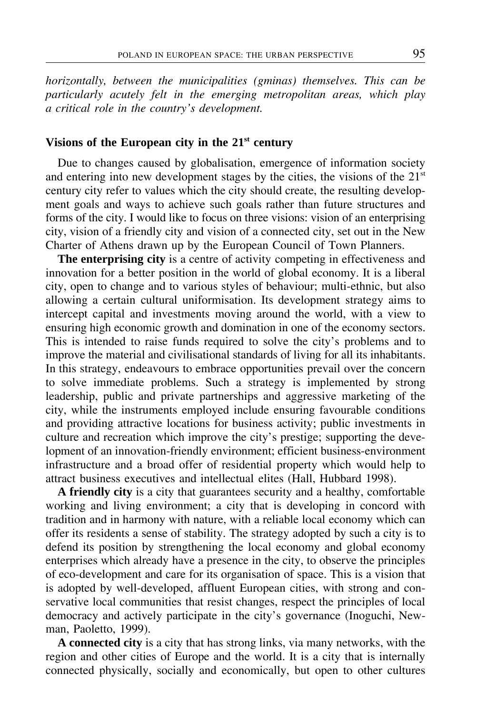*horizontally, between the municipalities (gminas) themselves. This can be particularly acutely felt in the emerging metropolitan areas, which play a critical role in the countryís development.*

## **Visions of the European city in the 21st century**

Due to changes caused by globalisation, emergence of information society and entering into new development stages by the cities, the visions of the 21<sup>st</sup> century city refer to values which the city should create, the resulting development goals and ways to achieve such goals rather than future structures and forms of the city. I would like to focus on three visions: vision of an enterprising city, vision of a friendly city and vision of a connected city, set out in the New Charter of Athens drawn up by the European Council of Town Planners.

**The enterprising city** is a centre of activity competing in effectiveness and innovation for a better position in the world of global economy. It is a liberal city, open to change and to various styles of behaviour; multi-ethnic, but also allowing a certain cultural uniformisation. Its development strategy aims to intercept capital and investments moving around the world, with a view to ensuring high economic growth and domination in one of the economy sectors. This is intended to raise funds required to solve the city's problems and to improve the material and civilisational standards of living for all its inhabitants. In this strategy, endeavours to embrace opportunities prevail over the concern to solve immediate problems. Such a strategy is implemented by strong leadership, public and private partnerships and aggressive marketing of the city, while the instruments employed include ensuring favourable conditions and providing attractive locations for business activity; public investments in culture and recreation which improve the city's prestige; supporting the development of an innovation-friendly environment; efficient business-environment infrastructure and a broad offer of residential property which would help to attract business executives and intellectual elites (Hall, Hubbard 1998).

**A friendly city** is a city that guarantees security and a healthy, comfortable working and living environment; a city that is developing in concord with tradition and in harmony with nature, with a reliable local economy which can offer its residents a sense of stability. The strategy adopted by such a city is to defend its position by strengthening the local economy and global economy enterprises which already have a presence in the city, to observe the principles of eco-development and care for its organisation of space. This is a vision that is adopted by well-developed, affluent European cities, with strong and conservative local communities that resist changes, respect the principles of local democracy and actively participate in the city's governance (Inoguchi, Newman, Paoletto, 1999).

**A connected city** is a city that has strong links, via many networks, with the region and other cities of Europe and the world. It is a city that is internally connected physically, socially and economically, but open to other cultures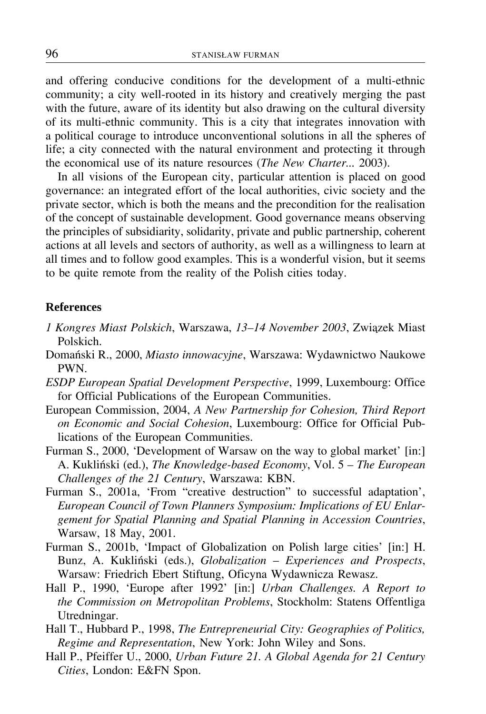and offering conducive conditions for the development of a multi-ethnic community; a city well-rooted in its history and creatively merging the past with the future, aware of its identity but also drawing on the cultural diversity of its multi-ethnic community. This is a city that integrates innovation with a political courage to introduce unconventional solutions in all the spheres of life; a city connected with the natural environment and protecting it through the economical use of its nature resources (*The New Charter...* 2003).

In all visions of the European city, particular attention is placed on good governance: an integrated effort of the local authorities, civic society and the private sector, which is both the means and the precondition for the realisation of the concept of sustainable development. Good governance means observing the principles of subsidiarity, solidarity, private and public partnership, coherent actions at all levels and sectors of authority, as well as a willingness to learn at all times and to follow good examples. This is a wonderful vision, but it seems to be quite remote from the reality of the Polish cities today.

#### **References**

- *1 Kongres Miast Polskich*, Warszawa, 13–14 November 2003, Związek Miast Polskich.
- Domański R., 2000, *Miasto innowacyjne*, Warszawa: Wydawnictwo Naukowe PWN.
- *ESDP European Spatial Development Perspective*, 1999, Luxembourg: Office for Official Publications of the European Communities.
- European Commission, 2004, *A New Partnership for Cohesion, Third Report on Economic and Social Cohesion*, Luxembourg: Office for Official Publications of the European Communities.
- Furman S., 2000, 'Development of Warsaw on the way to global market' [in:] A. Kukliński (ed.), *The Knowledge-based Economy*, Vol. 5 - The European *Challenges of the 21 Century*, Warszawa: KBN.
- Furman S., 2001a, 'From "creative destruction" to successful adaptation', *European Council of Town Planners Symposium: Implications of EU Enlargement for Spatial Planning and Spatial Planning in Accession Countries*, Warsaw, 18 May, 2001.
- Furman S., 2001b, 'Impact of Globalization on Polish large cities' [in:] H. Bunz, A. Kukliński (eds.), *Globalization* - *Experiences and Prospects*, Warsaw: Friedrich Ebert Stiftung, Oficyna Wydawnicza Rewasz.
- Hall P., 1990, 'Europe after 1992' [in:] *Urban Challenges. A Report to the Commission on Metropolitan Problems*, Stockholm: Statens Offentliga Utredningar.
- Hall T., Hubbard P., 1998, *The Entrepreneurial City: Geographies of Politics, Regime and Representation*, New York: John Wiley and Sons.
- Hall P., Pfeiffer U., 2000, *Urban Future 21. A Global Agenda for 21 Century Cities*, London: E&FN Spon.